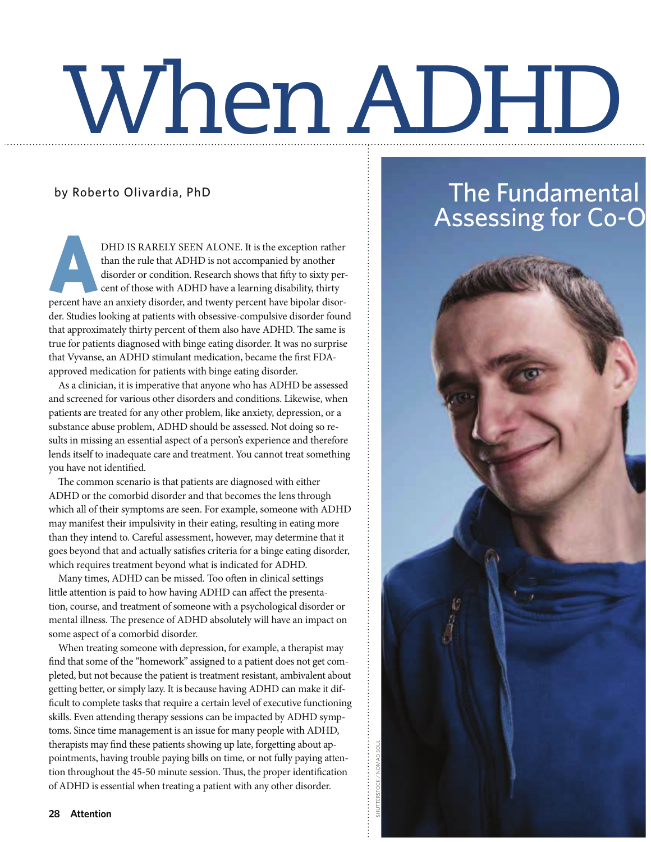## When ADHD

### by Roberto Olivardia, PhD

**A** DHD IS RARELY SEEN ALONE. It is the exception rather than the rule that ADHD is not accompanied by another disorder or condition. Research shows that fifty to sixty percent of those with ADHD have a learning disability, thirty percent have an anxiety disorder, and twenty percent have bipolar disorder. Studies looking at patients with obsessive-compulsive disorder found that approximately thirty percent of them also have ADHD. The same is true for patients diagnosed with binge eating disorder. It was no surprise that Vyvanse, an ADHD stimulant medication, became the first FDAapproved medication for patients with binge eating disorder.

As a clinician, it is imperative that anyone who has ADHD be assessed and screened for various other disorders and conditions. Likewise, when patients are treated for any other problem, like anxiety, depression, or a substance abuse problem, ADHD should be assessed. Not doing so results in missing an essential aspect of a person's experience and therefore lends itself to inadequate care and treatment. You cannot treat something you have not identified.

The common scenario is that patients are diagnosed with either ADHD or the comorbid disorder and that becomes the lens through which all of their symptoms are seen. For example, someone with ADHD may manifest their impulsivity in their eating, resulting in eating more than they intend to. Careful assessment, however, may determine that it goes beyond that and actually satisfies criteria for a binge eating disorder, which requires treatment beyond what is indicated for ADHD.

Many times, ADHD can be missed. Too often in clinical settings little attention is paid to how having ADHD can affect the presentation, course, and treatment of someone with a psychological disorder or mental illness. The presence of ADHD absolutely will have an impact on some aspect of a comorbid disorder.

When treating someone with depression, for example, a therapist may find that some of the "homework" assigned to a patient does not get completed, but not because the patient is treatment resistant, ambivalent about getting better, or simply lazy. It is because having ADHD can make it dif ficult to complete tasks that require a certain level of executive functioning skills. Even attending therapy sessions can be impacted by ADHD symptoms. Since time management is an issue for many people with ADHD, therapists may find these patients showing up late, forgetting about appointments, having trouble paying bills on time, or not fully paying attention throughout the 45-50 minute session. Thus, the proper identification of ADHD is essential when treating a patient with any other disorder.

### The Fundamental Assessing for Co-O